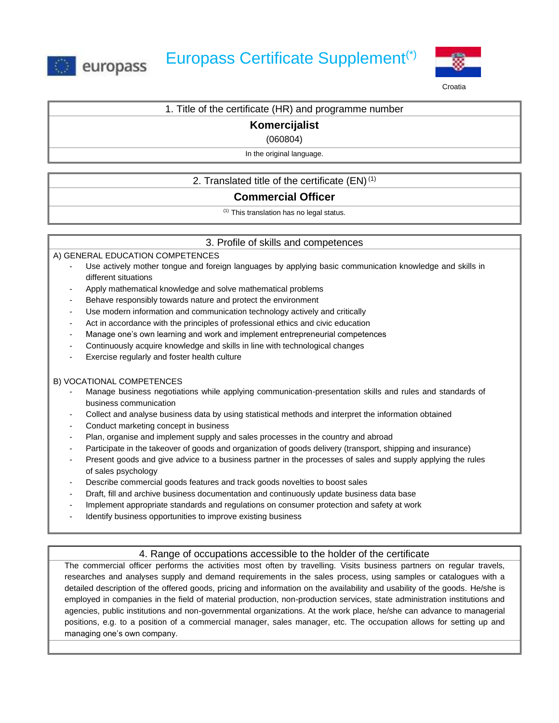

# **Europass** Europass Certificate Supplement<sup>(\*)</sup>



## 1. Title of the certificate (HR) and programme number

## **Komercijalist**

(060804)

In the original language.

2. Translated title of the certificate  $(EN)^{(1)}$ 

## **Commercial Officer**

(1) This translation has no legal status.

## 3. Profile of skills and competences

#### A) GENERAL EDUCATION COMPETENCES

- Use actively mother tongue and foreign languages by applying basic communication knowledge and skills in different situations
- Apply mathematical knowledge and solve mathematical problems
- Behave responsibly towards nature and protect the environment
- Use modern information and communication technology actively and critically
- Act in accordance with the principles of professional ethics and civic education
- Manage one's own learning and work and implement entrepreneurial competences
- Continuously acquire knowledge and skills in line with technological changes
- Exercise regularly and foster health culture

#### B) VOCATIONAL COMPETENCES

- Manage business negotiations while applying communication-presentation skills and rules and standards of business communication
- Collect and analyse business data by using statistical methods and interpret the information obtained
- Conduct marketing concept in business
- Plan, organise and implement supply and sales processes in the country and abroad
- Participate in the takeover of goods and organization of goods delivery (transport, shipping and insurance)
- Present goods and give advice to a business partner in the processes of sales and supply applying the rules of sales psychology
- Describe commercial goods features and track goods novelties to boost sales
- Draft, fill and archive business documentation and continuously update business data base
- Implement appropriate standards and regulations on consumer protection and safety at work
- Identify business opportunities to improve existing business

### 4. Range of occupations accessible to the holder of the certificate

The commercial officer performs the activities most often by travelling. Visits business partners on regular travels, researches and analyses supply and demand requirements in the sales process, using samples or catalogues with a detailed description of the offered goods, pricing and information on the availability and usability of the goods. He/she is employed in companies in the field of material production, non-production services, state administration institutions and agencies, public institutions and non-governmental organizations. At the work place, he/she can advance to managerial positions, e.g. to a position of a commercial manager, sales manager, etc. The occupation allows for setting up and managing one's own company.